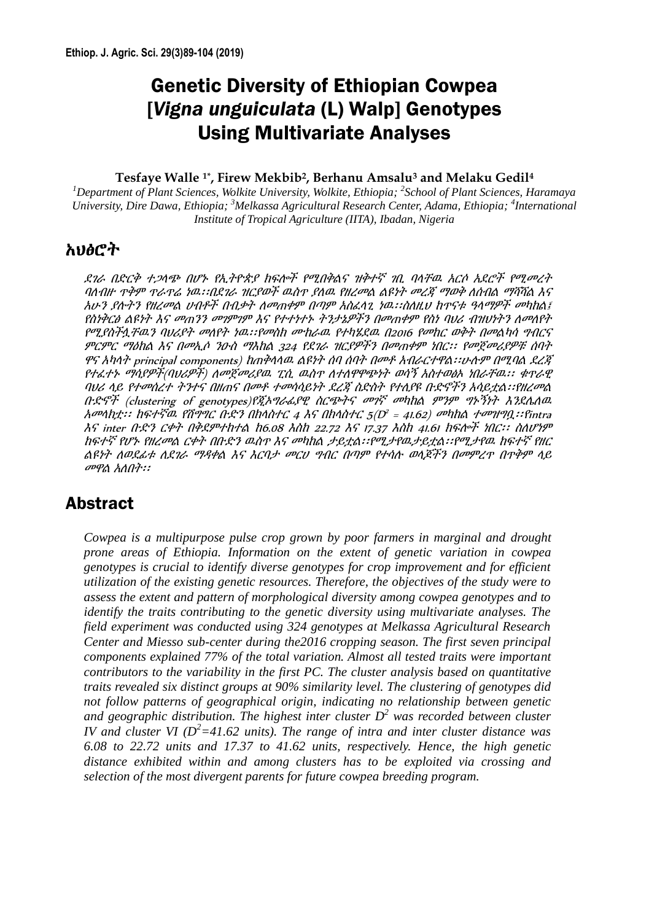# Genetic Diversity of Ethiopian Cowpea [*Vigna unguiculata* (L) Walp] Genotypes Using Multivariate Analyses

#### **Tesfaye Walle 1\*, Firew Mekbib<sup>2</sup> , Berhanu Amsalu<sup>3</sup> and Melaku Gedil<sup>4</sup>**

*<sup>1</sup>Department of Plant Sciences, Wolkite University, Wolkite, Ethiopia; <sup>2</sup> School of Plant Sciences, Haramaya University, Dire Dawa, Ethiopia; <sup>3</sup>Melkassa Agricultural Research Center, Adama, Ethiopia; <sup>4</sup> International Institute of Tropical Agriculture (IITA), Ibadan, Nigeria*

## አህፅሮት

ደገራ በድርቅ ተጋላጭ በሆኑ የኢትዮጵያ ክፍሎች የሚበቅልና ዝቅተኛ ገቢ ባላቸዉ አርሶ አደሮች የሚመረት ባለብዙ ጥቅም ጥራጥሬ ነዉ፡፡በደገራ ዝርያወች ዉስጥ ያለዉ የዘረመል ልዩነት መረጃ ማወቅ ለሰብል ማሻሻል እና አሁን ያሉትን የዘረመል ሀብቶች በብቃት ለመጠቀም በጣም አስፈላጊ ነዉ፡፡ስለዚህ ከጥናቱ ዓላማዎች መካከል፤ የስነቅርፅ ልዩነት እና መጠንን መገምገም እና የተተነተኑ ትንታኔዎችን በመጠቀም የስነ ባህሪ ብዝህነትን ለመለየት የሚያስችሏቸዉን ባህሪያት መለየት ነዉ፡፡የመስክ ሙከራዉ የተካሄደዉ በ2016 የመከር ወቅት በመልካሳ ግብርና ምርምር ማዕከል እና በመኢሶ ንዑስ ማእከል <sup>324</sup>የደገራ ዝርያዎችን በመጠቀም ነበር፡፡ የመጀመሪያዎቹ ሰባት ዋና አካላት principal components) ከጠቅላላዉ ልዩነት ሰባ ሰባት በመቶ አብራርተዋል፡፡ሁሉም በሚባል ደረጃ የተፈተኑ ማሳያዎች(ባህሪዎች) ለመጀመሪያዉ ፒሲ ዉስጥ ለተለዋዋጭነት ወሳኝ አስተወፅኦ ነበራቸዉ፡፡ ቁጥራዊ ባህሪ ላይ የተመሰረተ ትንተና በዘጠና በመቶ ተመሳሳይነት ደረጃ ስድስት የተለያዩ ቡድኖችን አሳይቷል፡፡የዘረመል ቡድኖች (clustering of genotypes)የጂኦግራፊያዊ ስርጭትና መገኛ መካከል ምንም ግኑኝነት እንደሌለዉ አመላከቷ፡፡ ከፍተኛዉ የሽግግር ቡድን በከላስተር 4 እና በከላስተር 5(D $^2$  = 41.62) መካከል ተመዝግቧ፡፡የintra እና inter ቡድን ርቀት በቅደምተከተል ከ6.08 እስከ 22.72 እና 17.37 እስከ 41.61 ክፍሎች ነበር፡፡ ስለሆነም ከፍተኛ የሆኑ የዘረመል ርቀት በቡድን ዉስጥ እና መካከል ታይቷል፡፡የሚታየዉታይቷል፡፡የሚታየዉ ከፍተኛ የዘር ልዩነት ለወደፊቱ ለደገራ ማዳቀል እና እርባታ መርሀ ግብር በጣም የተሳሉ ወላጆችን በመምረጥ በጥቅም ላይ መዋል አለበት፡፡

# Abstract

*Cowpea is a multipurpose pulse crop grown by poor farmers in marginal and drought prone areas of Ethiopia. Information on the extent of genetic variation in cowpea genotypes is crucial to identify diverse genotypes for crop improvement and for efficient utilization of the existing genetic resources. Therefore, the objectives of the study were to assess the extent and pattern of morphological diversity among cowpea genotypes and to identify the traits contributing to the genetic diversity using multivariate analyses. The field experiment was conducted using 324 genotypes at Melkassa Agricultural Research Center and Miesso sub-center during the2016 cropping season. The first seven principal components explained 77% of the total variation. Almost all tested traits were important contributors to the variability in the first PC. The cluster analysis based on quantitative traits revealed six distinct groups at 90% similarity level. The clustering of genotypes did not follow patterns of geographical origin, indicating no relationship between genetic and geographic distribution. The highest inter cluster D<sup>2</sup> was recorded between cluster IV and cluster VI (* $D^2 = 41.62$  *units). The range of intra and inter cluster distance was 6.08 to 22.72 units and 17.37 to 41.62 units, respectively. Hence, the high genetic distance exhibited within and among clusters has to be exploited via crossing and selection of the most divergent parents for future cowpea breeding program.*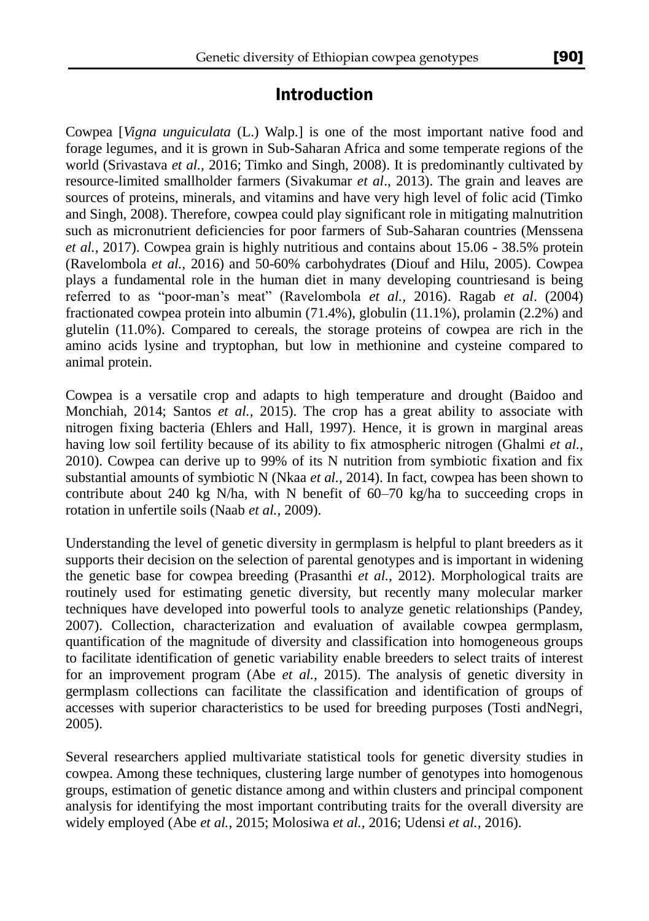### Introduction

Cowpea [*Vigna unguiculata* (L.) Walp.] is one of the most important native food and forage legumes, and it is grown in Sub-Saharan Africa and some temperate regions of the world (Srivastava *et al.,* 2016; Timko and Singh, 2008). It is predominantly cultivated by resource-limited smallholder farmers (Sivakumar *et al*., 2013). The grain and leaves are sources of proteins, minerals, and vitamins and have very high level of folic acid (Timko and Singh, 2008). Therefore, cowpea could play significant role in mitigating malnutrition such as micronutrient deficiencies for poor farmers of Sub-Saharan countries (Menssena *et al.,* 2017). Cowpea grain is highly nutritious and contains about 15.06 - 38.5% protein (Ravelombola *et al.,* 2016) and 50-60% carbohydrates (Diouf and Hilu, 2005). Cowpea plays a fundamental role in the human diet in many developing countriesand is being referred to as "poor-man's meat" (Ravelombola *et al.,* 2016). Ragab *et al*. (2004) fractionated cowpea protein into albumin (71.4%), globulin (11.1%), prolamin (2.2%) and glutelin (11.0%). Compared to cereals, the storage proteins of cowpea are rich in the amino acids lysine and tryptophan, but low in methionine and cysteine compared to animal protein.

Cowpea is a versatile crop and adapts to high temperature and drought (Baidoo and Monchiah, 2014; Santos *et al.,* 2015). The crop has a great ability to associate with nitrogen fixing bacteria (Ehlers and Hall, 1997). Hence, it is grown in marginal areas having low soil fertility because of its ability to fix atmospheric nitrogen (Ghalmi *et al.,* 2010). Cowpea can derive up to 99% of its N nutrition from symbiotic fixation and fix substantial amounts of symbiotic N (Nkaa *et al.,* 2014). In fact, cowpea has been shown to contribute about 240 kg N/ha, with N benefit of  $60-70$  kg/ha to succeeding crops in rotation in unfertile soils (Naab *et al.,* 2009).

Understanding the level of genetic diversity in germplasm is helpful to plant breeders as it supports their decision on the selection of parental genotypes and is important in widening the genetic base for cowpea breeding (Prasanthi *et al.,* 2012). Morphological traits are routinely used for estimating genetic diversity, but recently many molecular marker techniques have developed into powerful tools to analyze genetic relationships (Pandey, 2007). Collection, characterization and evaluation of available cowpea germplasm, quantification of the magnitude of diversity and classification into homogeneous groups to facilitate identification of genetic variability enable breeders to select traits of interest for an improvement program (Abe *et al.,* 2015). The analysis of genetic diversity in germplasm collections can facilitate the classification and identification of groups of accesses with superior characteristics to be used for breeding purposes (Tosti andNegri, 2005).

Several researchers applied multivariate statistical tools for genetic diversity studies in cowpea. Among these techniques, clustering large number of genotypes into homogenous groups, estimation of genetic distance among and within clusters and principal component analysis for identifying the most important contributing traits for the overall diversity are widely employed (Abe *et al.*, 2015; Molosiwa *et al.,* 2016; Udensi *et al.,* 2016).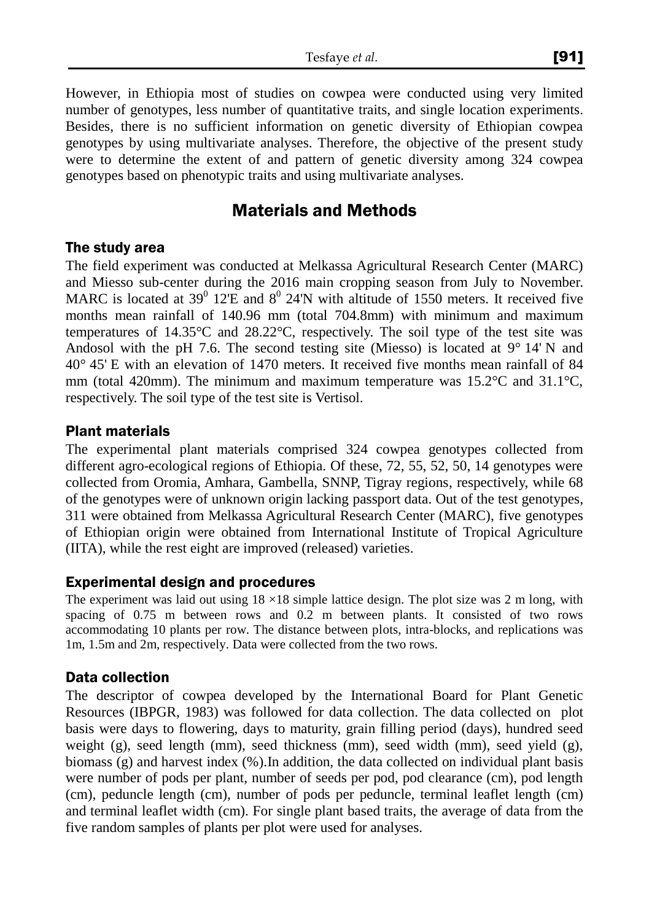However, in Ethiopia most of studies on cowpea were conducted using very limited number of genotypes, less number of quantitative traits, and single location experiments. Besides, there is no sufficient information on genetic diversity of Ethiopian cowpea genotypes by using multivariate analyses. Therefore, the objective of the present study were to determine the extent of and pattern of genetic diversity among 324 cowpea genotypes based on phenotypic traits and using multivariate analyses.

### Materials and Methods

#### The study area

The field experiment was conducted at Melkassa Agricultural Research Center (MARC) and Miesso sub-center during the 2016 main cropping season from July to November. MARC is located at  $39^{\circ}$  12'E and  $8^{\circ}$  24'N with altitude of 1550 meters. It received five months mean rainfall of 140.96 mm (total 704.8mm) with minimum and maximum temperatures of 14.35°C and 28.22°C, respectively. The soil type of the test site was Andosol with the pH 7.6. The second testing site (Miesso) is located at  $9^{\circ}$  14' N and 40° 45' E with an elevation of 1470 meters. It received five months mean rainfall of 84 mm (total 420mm). The minimum and maximum temperature was 15.2°C and 31.1°C, respectively. The soil type of the test site is Vertisol.

### Plant materials

The experimental plant materials comprised 324 cowpea genotypes collected from different agro-ecological regions of Ethiopia. Of these, 72, 55, 52, 50, 14 genotypes were collected from Oromia, Amhara, Gambella, SNNP, Tigray regions, respectively, while 68 of the genotypes were of unknown origin lacking passport data. Out of the test genotypes, 311 were obtained from Melkassa Agricultural Research Center (MARC), five genotypes of Ethiopian origin were obtained from International Institute of Tropical Agriculture (IITA), while the rest eight are improved (released) varieties.

#### Experimental design and procedures

The experiment was laid out using  $18 \times 18$  simple lattice design. The plot size was 2 m long, with spacing of 0.75 m between rows and 0.2 m between plants. It consisted of two rows accommodating 10 plants per row. The distance between plots, intra-blocks, and replications was 1m, 1.5m and 2m, respectively. Data were collected from the two rows.

### Data collection

The descriptor of cowpea developed by the International Board for Plant Genetic Resources (IBPGR, 1983) was followed for data collection. The data collected on plot basis were days to flowering, days to maturity, grain filling period (days), hundred seed weight (g), seed length (mm), seed thickness (mm), seed width (mm), seed yield (g), biomass (g) and harvest index (%).In addition, the data collected on individual plant basis were number of pods per plant, number of seeds per pod, pod clearance (cm), pod length (cm), peduncle length (cm), number of pods per peduncle, terminal leaflet length (cm) and terminal leaflet width (cm). For single plant based traits, the average of data from the five random samples of plants per plot were used for analyses.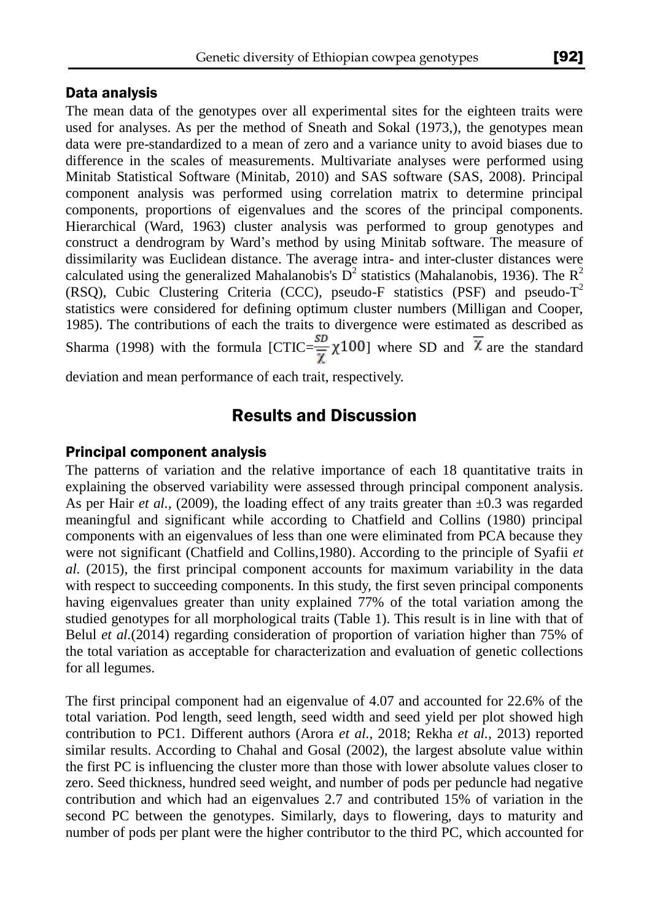#### Data analysis

The mean data of the genotypes over all experimental sites for the eighteen traits were used for analyses. As per the method of Sneath and Sokal (1973,), the genotypes mean data were pre-standardized to a mean of zero and a variance unity to avoid biases due to difference in the scales of measurements. Multivariate analyses were performed using Minitab Statistical Software (Minitab, 2010) and SAS software (SAS, 2008). Principal component analysis was performed using correlation matrix to determine principal components, proportions of eigenvalues and the scores of the principal components. Hierarchical (Ward, 1963) cluster analysis was performed to group genotypes and construct a dendrogram by Ward's method by using Minitab software. The measure of dissimilarity was Euclidean distance. The average intra- and inter-cluster distances were calculated using the generalized Mahalanobis's  $\overline{D}^2$  statistics (Mahalanobis, 1936). The R<sup>2</sup> (RSQ), Cubic Clustering Criteria (CCC), pseudo-F statistics (PSF) and pseudo- $T^2$ statistics were considered for defining optimum cluster numbers (Milligan and Cooper, 1985). The contributions of each the traits to divergence were estimated as described as Sharma (1998) with the formula [CTIC= $\frac{SD}{\overline{\gamma}} \chi 100$ ] where SD and  $\overline{\chi}$  are the standard

deviation and mean performance of each trait, respectively.

### Results and Discussion

#### Principal component analysis

The patterns of variation and the relative importance of each 18 quantitative traits in explaining the observed variability were assessed through principal component analysis. As per Hair *et al.*, (2009), the loading effect of any traits greater than  $\pm 0.3$  was regarded meaningful and significant while according to Chatfield and Collins (1980) principal components with an eigenvalues of less than one were eliminated from PCA because they were not significant (Chatfield and Collins,1980). According to the principle of Syafii *et al.* (2015), the first principal component accounts for maximum variability in the data with respect to succeeding components. In this study, the first seven principal components having eigenvalues greater than unity explained 77% of the total variation among the studied genotypes for all morphological traits (Table 1). This result is in line with that of Belul *et al.*(2014) regarding consideration of proportion of variation higher than 75% of the total variation as acceptable for characterization and evaluation of genetic collections for all legumes.

The first principal component had an eigenvalue of 4.07 and accounted for 22.6% of the total variation. Pod length, seed length, seed width and seed yield per plot showed high contribution to PC1. Different authors (Arora *et al.,* 2018; Rekha *et al.,* 2013) reported similar results. According to Chahal and Gosal (2002), the largest absolute value within the first PC is influencing the cluster more than those with lower absolute values closer to zero. Seed thickness, hundred seed weight, and number of pods per peduncle had negative contribution and which had an eigenvalues 2.7 and contributed 15% of variation in the second PC between the genotypes. Similarly, days to flowering, days to maturity and number of pods per plant were the higher contributor to the third PC, which accounted for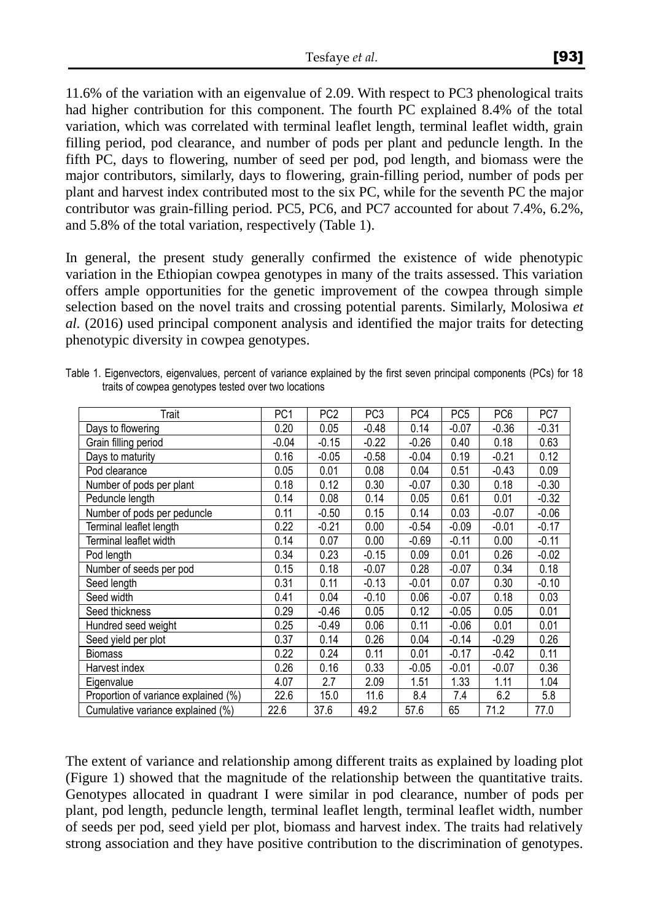11.6% of the variation with an eigenvalue of 2.09. With respect to PC3 phenological traits had higher contribution for this component. The fourth PC explained 8.4% of the total variation, which was correlated with terminal leaflet length, terminal leaflet width, grain filling period, pod clearance, and number of pods per plant and peduncle length. In the fifth PC, days to flowering, number of seed per pod, pod length, and biomass were the major contributors, similarly, days to flowering, grain-filling period, number of pods per plant and harvest index contributed most to the six PC, while for the seventh PC the major contributor was grain-filling period. PC5, PC6, and PC7 accounted for about 7.4%, 6.2%, and 5.8% of the total variation, respectively (Table 1).

In general, the present study generally confirmed the existence of wide phenotypic variation in the Ethiopian cowpea genotypes in many of the traits assessed. This variation offers ample opportunities for the genetic improvement of the cowpea through simple selection based on the novel traits and crossing potential parents. Similarly, Molosiwa *et al.* (2016) used principal component analysis and identified the major traits for detecting phenotypic diversity in cowpea genotypes.

| Trait                                | PC <sub>1</sub> | PC <sub>2</sub> | PC <sub>3</sub> | PC4     | PC <sub>5</sub> | PC <sub>6</sub> | PC7     |
|--------------------------------------|-----------------|-----------------|-----------------|---------|-----------------|-----------------|---------|
| Days to flowering                    | 0.20            | 0.05            | $-0.48$         | 0.14    | $-0.07$         | $-0.36$         | $-0.31$ |
| Grain filling period                 | $-0.04$         | $-0.15$         | $-0.22$         | $-0.26$ | 0.40            | 0.18            | 0.63    |
| Days to maturity                     | 0.16            | $-0.05$         | $-0.58$         | $-0.04$ | 0.19            | $-0.21$         | 0.12    |
| Pod clearance                        | 0.05            | 0.01            | 0.08            | 0.04    | 0.51            | $-0.43$         | 0.09    |
| Number of pods per plant             | 0.18            | 0.12            | 0.30            | $-0.07$ | 0.30            | 0.18            | $-0.30$ |
| Peduncle length                      | 0.14            | 0.08            | 0.14            | 0.05    | 0.61            | 0.01            | $-0.32$ |
| Number of pods per peduncle          | 0.11            | $-0.50$         | 0.15            | 0.14    | 0.03            | $-0.07$         | $-0.06$ |
| Terminal leaflet length              | 0.22            | $-0.21$         | 0.00            | $-0.54$ | $-0.09$         | $-0.01$         | $-0.17$ |
| Terminal leaflet width               | 0.14            | 0.07            | 0.00            | $-0.69$ | $-0.11$         | 0.00            | $-0.11$ |
| Pod length                           | 0.34            | 0.23            | $-0.15$         | 0.09    | 0.01            | 0.26            | $-0.02$ |
| Number of seeds per pod              | 0.15            | 0.18            | $-0.07$         | 0.28    | $-0.07$         | 0.34            | 0.18    |
| Seed length                          | 0.31            | 0.11            | $-0.13$         | $-0.01$ | 0.07            | 0.30            | $-0.10$ |
| Seed width                           | 0.41            | 0.04            | $-0.10$         | 0.06    | $-0.07$         | 0.18            | 0.03    |
| Seed thickness                       | 0.29            | $-0.46$         | 0.05            | 0.12    | $-0.05$         | 0.05            | 0.01    |
| Hundred seed weight                  | 0.25            | $-0.49$         | 0.06            | 0.11    | $-0.06$         | 0.01            | 0.01    |
| Seed yield per plot                  | 0.37            | 0.14            | 0.26            | 0.04    | $-0.14$         | $-0.29$         | 0.26    |
| <b>Biomass</b>                       | 0.22            | 0.24            | 0.11            | 0.01    | $-0.17$         | $-0.42$         | 0.11    |
| Harvest index                        | 0.26            | 0.16            | 0.33            | $-0.05$ | $-0.01$         | $-0.07$         | 0.36    |
| Eigenvalue                           | 4.07            | 2.7             | 2.09            | 1.51    | 1.33            | 1.11            | 1.04    |
| Proportion of variance explained (%) | 22.6            | 15.0            | 11.6            | 8.4     | 7.4             | 6.2             | 5.8     |
| Cumulative variance explained (%)    | 22.6            | 37.6            | 49.2            | 57.6    | 65              | 71.2            | 77.0    |

Table 1. Eigenvectors, eigenvalues, percent of variance explained by the first seven principal components (PCs) for 18 traits of cowpea genotypes tested over two locations

The extent of variance and relationship among different traits as explained by loading plot (Figure 1) showed that the magnitude of the relationship between the quantitative traits. Genotypes allocated in quadrant I were similar in pod clearance, number of pods per plant, pod length, peduncle length, terminal leaflet length, terminal leaflet width, number of seeds per pod, seed yield per plot, biomass and harvest index. The traits had relatively strong association and they have positive contribution to the discrimination of genotypes.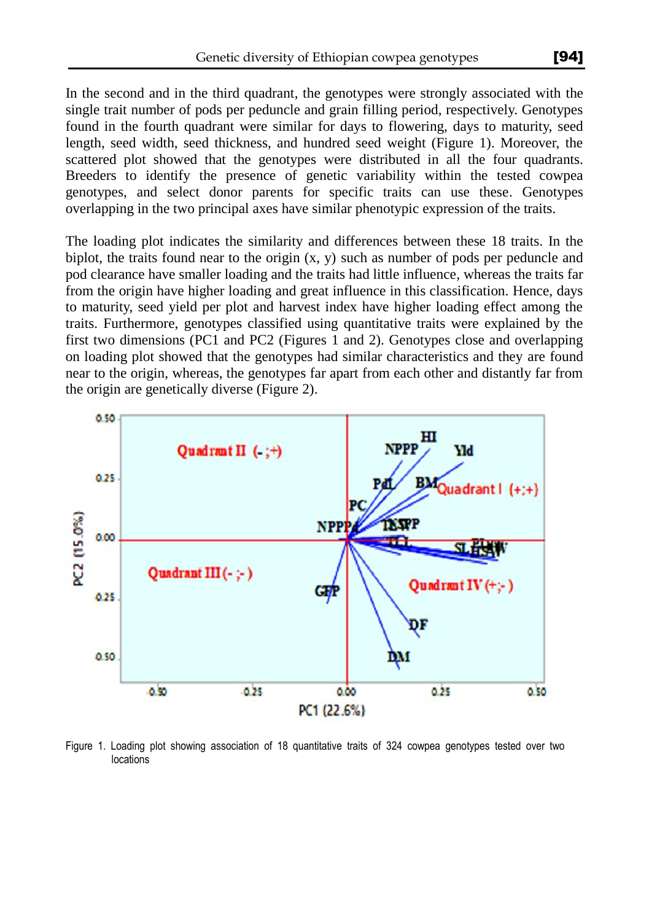In the second and in the third quadrant, the genotypes were strongly associated with the single trait number of pods per peduncle and grain filling period, respectively. Genotypes found in the fourth quadrant were similar for days to flowering, days to maturity, seed length, seed width, seed thickness, and hundred seed weight (Figure 1). Moreover, the scattered plot showed that the genotypes were distributed in all the four quadrants. Breeders to identify the presence of genetic variability within the tested cowpea genotypes, and select donor parents for specific traits can use these. Genotypes overlapping in the two principal axes have similar phenotypic expression of the traits.

The loading plot indicates the similarity and differences between these 18 traits. In the biplot, the traits found near to the origin  $(x, y)$  such as number of pods per peduncle and pod clearance have smaller loading and the traits had little influence, whereas the traits far from the origin have higher loading and great influence in this classification. Hence, days to maturity, seed yield per plot and harvest index have higher loading effect among the traits. Furthermore, genotypes classified using quantitative traits were explained by the first two dimensions (PC1 and PC2 (Figures 1 and 2). Genotypes close and overlapping on loading plot showed that the genotypes had similar characteristics and they are found near to the origin, whereas, the genotypes far apart from each other and distantly far from the origin are genetically diverse (Figure 2).



Figure 1. Loading plot showing association of 18 quantitative traits of 324 cowpea genotypes tested over two locations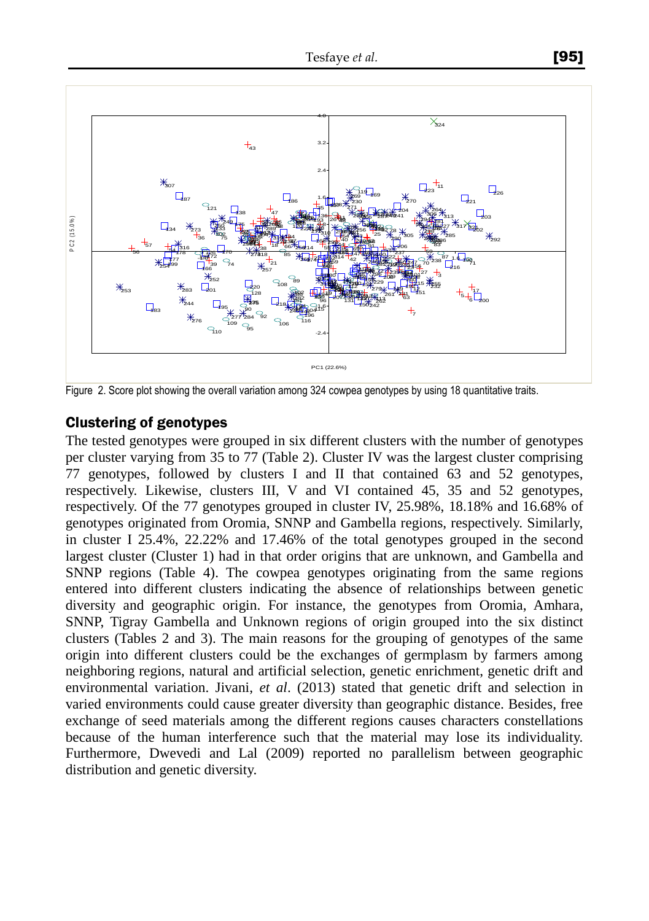

Figure 2. Score plot showing the overall variation among 324 cowpea genotypes by using 18 quantitative traits.

### Clustering of genotypes

The tested genotypes were grouped in six different clusters with the number of genotypes per cluster varying from 35 to 77 (Table 2). Cluster IV was the largest cluster comprising 77 genotypes, followed by clusters I and II that contained 63 and 52 genotypes, respectively. Likewise, clusters III, V and VI contained 45, 35 and 52 genotypes, respectively. Of the 77 genotypes grouped in cluster IV, 25.98%, 18.18% and 16.68% of genotypes originated from Oromia, SNNP and Gambella regions, respectively. Similarly, in cluster I 25.4%, 22.22% and 17.46% of the total genotypes grouped in the second largest cluster (Cluster 1) had in that order origins that are unknown, and Gambella and SNNP regions (Table 4). The cowpea genotypes originating from the same regions entered into different clusters indicating the absence of relationships between genetic diversity and geographic origin. For instance, the genotypes from Oromia, Amhara, SNNP, Tigray Gambella and Unknown regions of origin grouped into the six distinct clusters (Tables 2 and 3). The main reasons for the grouping of genotypes of the same origin into different clusters could be the exchanges of germplasm by farmers among neighboring regions, natural and artificial selection, genetic enrichment, genetic drift and environmental variation. Jivani, *et al*. (2013) stated that genetic drift and selection in varied environments could cause greater diversity than geographic distance. Besides, free exchange of seed materials among the different regions causes characters constellations because of the human interference such that the material may lose its individuality. Furthermore, Dwevedi and Lal (2009) reported no parallelism between geographic distribution and genetic diversity.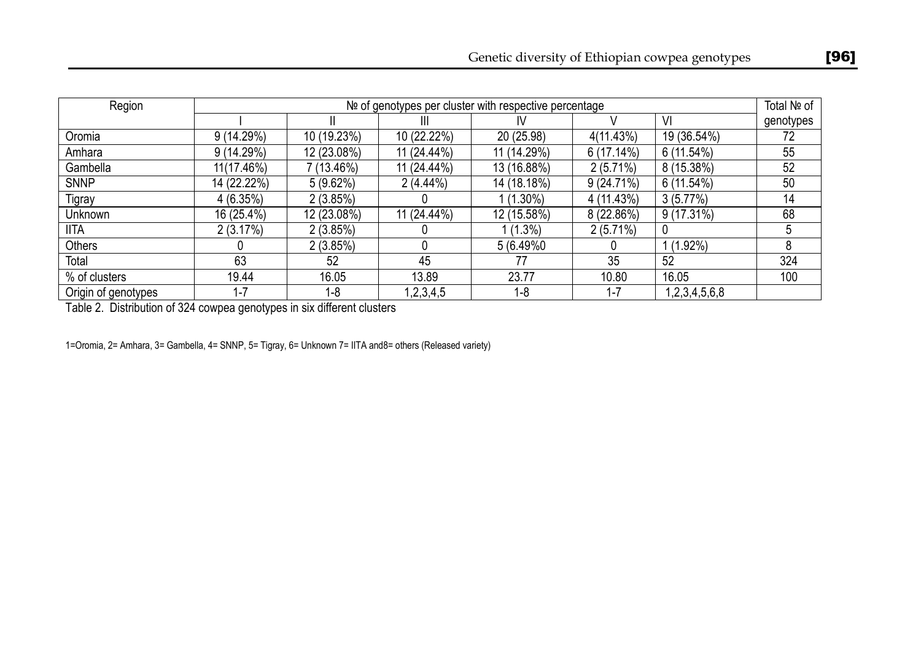| Region              |             |             |             | Nº of genotypes per cluster with respective percentage |              |               | Total Nº of |
|---------------------|-------------|-------------|-------------|--------------------------------------------------------|--------------|---------------|-------------|
|                     |             |             | Ш           | IV                                                     |              | VI            | genotypes   |
| Oromia              | 9(14.29%)   | 10 (19.23%) | 10 (22.22%) | 20 (25.98)                                             | 4(11.43%)    | 19 (36.54%)   | 72          |
| Amhara              | 9 (14.29%)  | 12 (23.08%) | 11 (24.44%) | 11 (14.29%)                                            | 6(17.14%)    | 6(11.54%)     | 55          |
| Gambella            | 11(17.46%)  | (13.46%)    | 11 (24.44%) | 13 (16.88%)                                            | 2(5.71%)     | 8 (15.38%)    | 52          |
| <b>SNNP</b>         | 14 (22.22%) | 5(9.62%)    | $2(4.44\%)$ | 14 (18.18%)                                            | $9(24.71\%)$ | 6(11.54%)     | 50          |
| Tigray              | 4 (6.35%)   | 2(3.85%)    |             | $(1.30\%)$                                             | 4 (11.43%)   | 3(5.77%)      | 14          |
| Unknown             | 16 (25.4%)  | 12 (23.08%) | 11 (24.44%) | 12 (15.58%)                                            | 8 (22.86%)   | $9(17.31\%)$  | 68          |
| <b>IITA</b>         | 2(3.17%)    | 2(3.85%)    |             | $(1.3\%)$                                              | 2(5.71%)     |               |             |
| Others              |             | 2(3.85%)    |             | 5 (6.49%0)                                             |              | $(1.92\%)$    | 8           |
| Total               | 63          | 52          | 45          | 77                                                     | 35           | 52            | 324         |
| % of clusters       | 19.44       | 16.05       | 13.89       | 23.77                                                  | 10.80        | 16.05         | 100         |
| Origin of genotypes | $1 - 7$     | $1-8$       | 1,2,3,4,5   | $1-8$                                                  | $1 - 7$      | 1,2,3,4,5,6,8 |             |

Table 2. Distribution of 324 cowpea genotypes in six different clusters

1=Oromia, 2= Amhara, 3= Gambella, 4= SNNP, 5= Tigray, 6= Unknown 7= IITA and8= others (Released variety)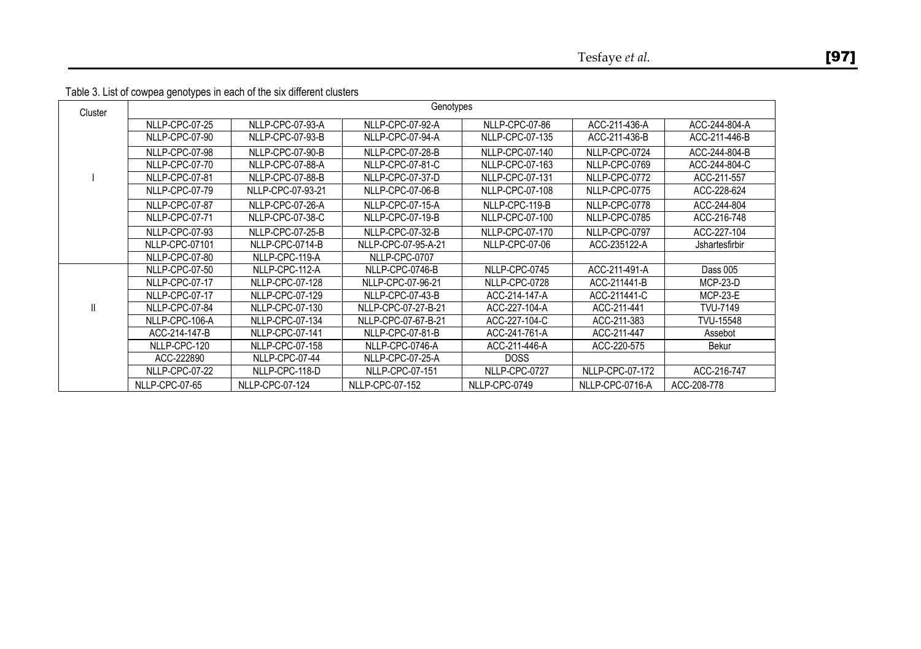#### Table 3. List of cowpea genotypes in each of the six different clusters

| Cluster | $\cdot$        |                   | Genotypes              |                        |                 |                 |
|---------|----------------|-------------------|------------------------|------------------------|-----------------|-----------------|
|         | NLLP-CPC-07-25 | NLLP-CPC-07-93-A  | NLLP-CPC-07-92-A       | NLLP-CPC-07-86         | ACC-211-436-A   | ACC-244-804-A   |
|         | NLLP-CPC-07-90 | NLLP-CPC-07-93-B  | NLLP-CPC-07-94-A       | <b>NLLP-CPC-07-135</b> | ACC-211-436-B   | ACC-211-446-B   |
|         | NLLP-CPC-07-98 | NLLP-CPC-07-90-B  | NLLP-CPC-07-28-B       | NLLP-CPC-07-140        | NLLP-CPC-0724   | ACC-244-804-B   |
|         | NLLP-CPC-07-70 | NLLP-CPC-07-88-A  | NLLP-CPC-07-81-C       | NLLP-CPC-07-163        | NLLP-CPC-0769   | ACC-244-804-C   |
|         | NLLP-CPC-07-81 | NLLP-CPC-07-88-B  | NLLP-CPC-07-37-D       | NLLP-CPC-07-131        | NLLP-CPC-0772   | ACC-211-557     |
|         | NLLP-CPC-07-79 | NLLP-CPC-07-93-21 | NLLP-CPC-07-06-B       | NLLP-CPC-07-108        | NLLP-CPC-0775   | ACC-228-624     |
|         | NLLP-CPC-07-87 | NLLP-CPC-07-26-A  | NLLP-CPC-07-15-A       | NLLP-CPC-119-B         | NLLP-CPC-0778   | ACC-244-804     |
|         | NLLP-CPC-07-71 | NLLP-CPC-07-38-C  | NLLP-CPC-07-19-B       | NLLP-CPC-07-100        | NLLP-CPC-0785   | ACC-216-748     |
|         | NLLP-CPC-07-93 | NLLP-CPC-07-25-B  | NLLP-CPC-07-32-B       | NLLP-CPC-07-170        | NLLP-CPC-0797   | ACC-227-104     |
|         | NLLP-CPC-07101 | NLLP-CPC-0714-B   | NLLP-CPC-07-95-A-21    | NLLP-CPC-07-06         | ACC-235122-A    | Jshartesfirbir  |
|         | NLLP-CPC-07-80 | NLLP-CPC-119-A    | NLLP-CPC-0707          |                        |                 |                 |
|         | NLLP-CPC-07-50 | NLLP-CPC-112-A    | NLLP-CPC-0746-B        | NLLP-CPC-0745          | ACC-211-491-A   | Dass 005        |
|         | NLLP-CPC-07-17 | NLLP-CPC-07-128   | NLLP-CPC-07-96-21      | NLLP-CPC-0728          | ACC-211441-B    | $MCP-23-D$      |
|         | NLLP-CPC-07-17 | NLLP-CPC-07-129   | NLLP-CPC-07-43-B       | ACC-214-147-A          | ACC-211441-C    | $MCP-23-E$      |
| Ш       | NLLP-CPC-07-84 | NLLP-CPC-07-130   | NLLP-CPC-07-27-B-21    | ACC-227-104-A          | ACC-211-441     | <b>TVU-7149</b> |
|         | NLLP-CPC-106-A | NLLP-CPC-07-134   | NLLP-CPC-07-67-B-21    | ACC-227-104-C          | ACC-211-383     | TVU-15548       |
|         | ACC-214-147-B  | NLLP-CPC-07-141   | NLLP-CPC-07-81-B       | ACC-241-761-A          | ACC-211-447     | Assebot         |
|         | NLLP-CPC-120   | NLLP-CPC-07-158   | NLLP-CPC-0746-A        | ACC-211-446-A          | ACC-220-575     | Bekur           |
|         | ACC-222890     | NLLP-CPC-07-44    | NLLP-CPC-07-25-A       | <b>DOSS</b>            |                 |                 |
|         | NLLP-CPC-07-22 | NLLP-CPC-118-D    | <b>NLLP-CPC-07-151</b> | NLLP-CPC-0727          | NLLP-CPC-07-172 | ACC-216-747     |
|         | NLLP-CPC-07-65 | NLLP-CPC-07-124   | NLLP-CPC-07-152        | NLLP-CPC-0749          | NLLP-CPC-0716-A | ACC-208-778     |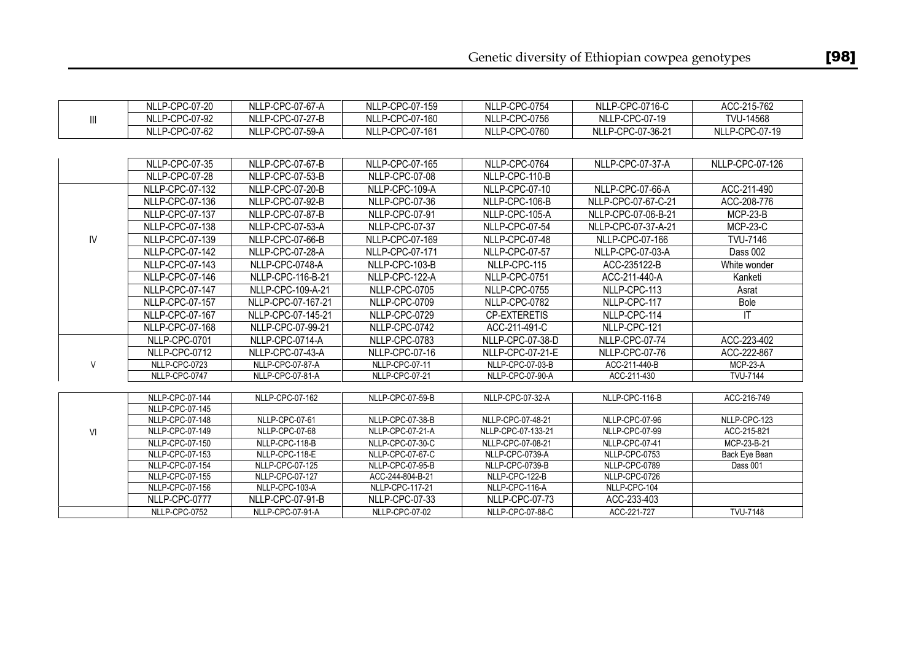|                | NLLP-CPC-07-20                     | NLLP-CPC-07-67-A   | NLLP-CPC-07-159  | NLLP-CPC-0754       | NLLP-CPC-0716-C     | ACC-215-762              |
|----------------|------------------------------------|--------------------|------------------|---------------------|---------------------|--------------------------|
| $\mathbf{III}$ | NLLP-CPC-07-92                     | NLLP-CPC-07-27-B   | NLLP-CPC-07-160  | NLLP-CPC-0756       | NLLP-CPC-07-19      | TVU-14568                |
|                | NLLP-CPC-07-62                     | NLLP-CPC-07-59-A   | NLLP-CPC-07-161  | NLLP-CPC-0760       | NLLP-CPC-07-36-21   | NLLP-CPC-07-19           |
|                |                                    |                    |                  |                     |                     |                          |
|                | NLLP-CPC-07-35                     | NLLP-CPC-07-67-B   | NLLP-CPC-07-165  | NLLP-CPC-0764       | NLLP-CPC-07-37-A    | NLLP-CPC-07-126          |
|                | NLLP-CPC-07-28                     | NLLP-CPC-07-53-B   | NLLP-CPC-07-08   | NLLP-CPC-110-B      |                     |                          |
|                | NLLP-CPC-07-132                    | NLLP-CPC-07-20-B   | NLLP-CPC-109-A   | NLLP-CPC-07-10      | NLLP-CPC-07-66-A    | ACC-211-490              |
|                | NLLP-CPC-07-136                    | NLLP-CPC-07-92-B   | NLLP-CPC-07-36   | NLLP-CPC-106-B      | NLLP-CPC-07-67-C-21 | ACC-208-776              |
|                | NLLP-CPC-07-137                    | NLLP-CPC-07-87-B   | NLLP-CPC-07-91   | NLLP-CPC-105-A      | NLLP-CPC-07-06-B-21 | $MCP-23-B$               |
|                | NLLP-CPC-07-138                    | NLLP-CPC-07-53-A   | NLLP-CPC-07-37   | NLLP-CPC-07-54      | NLLP-CPC-07-37-A-21 | <b>MCP-23-C</b>          |
| IV             | NLLP-CPC-07-139                    | NLLP-CPC-07-66-B   | NLLP-CPC-07-169  | NLLP-CPC-07-48      | NLLP-CPC-07-166     | TVU-7146                 |
|                | NLLP-CPC-07-142                    | NLLP-CPC-07-28-A   | NLLP-CPC-07-171  | NLLP-CPC-07-57      | NLLP-CPC-07-03-A    | Dass 002                 |
|                | NLLP-CPC-07-143                    | NLLP-CPC-0748-A    | NLLP-CPC-103-B   | NLLP-CPC-115        | ACC-235122-B        | White wonder             |
|                | NLLP-CPC-07-146                    | NLLP-CPC-116-B-21  | NLLP-CPC-122-A   | NLLP-CPC-0751       | ACC-211-440-A       | Kanketi                  |
|                | NLLP-CPC-07-147                    | NLLP-CPC-109-A-21  | NLLP-CPC-0705    | NLLP-CPC-0755       | NLLP-CPC-113        | Asrat                    |
|                | NLLP-CPC-07-157                    | NLLP-CPC-07-167-21 | NLLP-CPC-0709    | NLLP-CPC-0782       | NLLP-CPC-117        | Bole                     |
|                | NLLP-CPC-07-167                    | NLLP-CPC-07-145-21 | NLLP-CPC-0729    | <b>CP-EXTERETIS</b> | NLLP-CPC-114        | ΙT                       |
|                | NLLP-CPC-07-168                    | NLLP-CPC-07-99-21  | NLLP-CPC-0742    | ACC-211-491-C       | NLLP-CPC-121        |                          |
|                | NLLP-CPC-0701                      | NLLP-CPC-0714-A    | NLLP-CPC-0783    | NLLP-CPC-07-38-D    | NLLP-CPC-07-74      | ACC-223-402              |
|                | NLLP-CPC-0712                      | NLLP-CPC-07-43-A   | NLLP-CPC-07-16   | NLLP-CPC-07-21-E    | NLLP-CPC-07-76      | ACC-222-867              |
| V              | NLLP-CPC-0723                      | NLLP-CPC-07-87-A   | NLLP-CPC-07-11   | NLLP-CPC-07-03-B    | ACC-211-440-B       | <b>MCP-23-A</b>          |
|                | NLLP-CPC-0747                      | NLLP-CPC-07-81-A   | NLLP-CPC-07-21   | NLLP-CPC-07-90-A    | ACC-211-430         | <b>TVU-7144</b>          |
|                |                                    |                    |                  |                     |                     |                          |
|                | NLLP-CPC-07-144<br>NLLP-CPC-07-145 | NLLP-CPC-07-162    | NLLP-CPC-07-59-B | NLLP-CPC-07-32-A    | NLLP-CPC-116-B      | ACC-216-749              |
|                | NLLP-CPC-07-148                    | NLLP-CPC-07-61     | NLLP-CPC-07-38-B | NLLP-CPC-07-48-21   | NLLP-CPC-07-96      | NLLP-CPC-123             |
| VI             | NLLP-CPC-07-149                    | NLLP-CPC-07-68     | NLLP-CPC-07-21-A | NLLP-CPC-07-133-21  | NLLP-CPC-07-99      | ACC-215-821              |
|                | NLLP-CPC-07-150                    | NLLP-CPC-118-B     | NLLP-CPC-07-30-C | NLLP-CPC-07-08-21   | NLLP-CPC-07-41      | $\overline{MCP-23-B-21}$ |
|                | NLLP-CPC-07-153                    | NLLP-CPC-118-E     | NLLP-CPC-07-67-C | NLLP-CPC-0739-A     | NLLP-CPC-0753       | Back Eye Bean            |
|                | NLLP-CPC-07-154                    | NLLP-CPC-07-125    | NLLP-CPC-07-95-B | NLLP-CPC-0739-B     | NLLP-CPC-0789       | Dass 001                 |
|                | NLLP-CPC-07-155                    | NLLP-CPC-07-127    | ACC-244-804-B-21 | NLLP-CPC-122-B      | NLLP-CPC-0726       |                          |
|                | NLLP-CPC-07-156                    | NLLP-CPC-103-A     | NLLP-CPC-117-21  | NLLP-CPC-116-A      | NLLP-CPC-104        |                          |
|                | NLLP-CPC-0777                      | NLLP-CPC-07-91-B   | NLLP-CPC-07-33   | NLLP-CPC-07-73      | ACC-233-403         |                          |
|                | NLLP-CPC-0752                      | NLLP-CPC-07-91-A   | NLLP-CPC-07-02   | NLLP-CPC-07-88-C    | ACC-221-727         | <b>TVU-7148</b>          |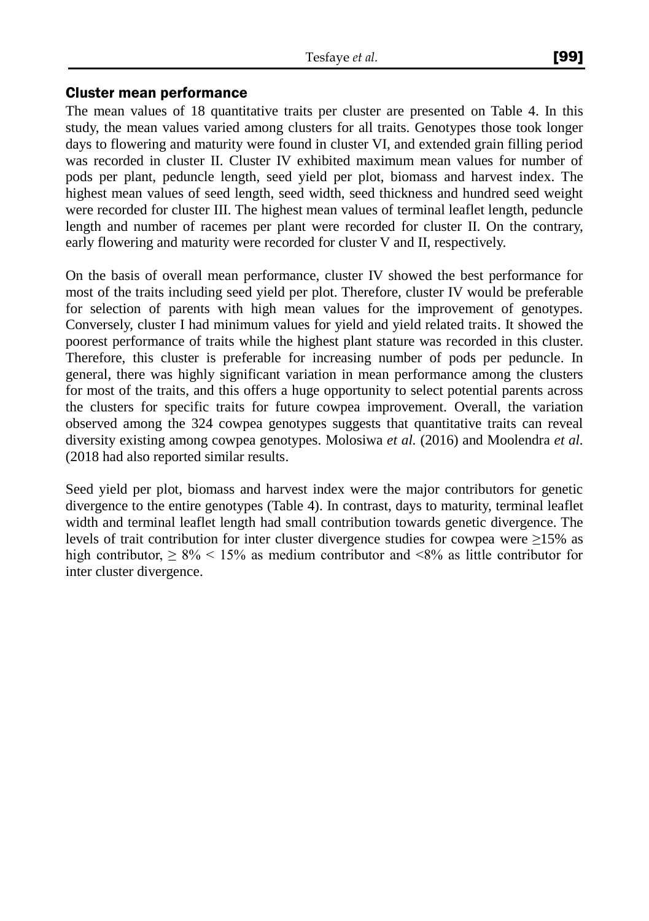#### Cluster mean performance

The mean values of 18 quantitative traits per cluster are presented on Table 4. In this study, the mean values varied among clusters for all traits. Genotypes those took longer days to flowering and maturity were found in cluster VI, and extended grain filling period was recorded in cluster II. Cluster IV exhibited maximum mean values for number of pods per plant, peduncle length, seed yield per plot, biomass and harvest index. The highest mean values of seed length, seed width, seed thickness and hundred seed weight were recorded for cluster III. The highest mean values of terminal leaflet length, peduncle length and number of racemes per plant were recorded for cluster II. On the contrary, early flowering and maturity were recorded for cluster V and II, respectively.

On the basis of overall mean performance, cluster IV showed the best performance for most of the traits including seed yield per plot. Therefore, cluster IV would be preferable for selection of parents with high mean values for the improvement of genotypes. Conversely, cluster I had minimum values for yield and yield related traits. It showed the poorest performance of traits while the highest plant stature was recorded in this cluster. Therefore, this cluster is preferable for increasing number of pods per peduncle. In general, there was highly significant variation in mean performance among the clusters for most of the traits, and this offers a huge opportunity to select potential parents across the clusters for specific traits for future cowpea improvement. Overall, the variation observed among the 324 cowpea genotypes suggests that quantitative traits can reveal diversity existing among cowpea genotypes. Molosiwa *et al.* (2016) and Moolendra *et al.* (2018 had also reported similar results.

Seed yield per plot, biomass and harvest index were the major contributors for genetic divergence to the entire genotypes (Table 4). In contrast, days to maturity, terminal leaflet width and terminal leaflet length had small contribution towards genetic divergence. The levels of trait contribution for inter cluster divergence studies for cowpea were ≥15% as high contributor,  $\geq 8\% \leq 15\%$  as medium contributor and  $\leq 8\%$  as little contributor for inter cluster divergence.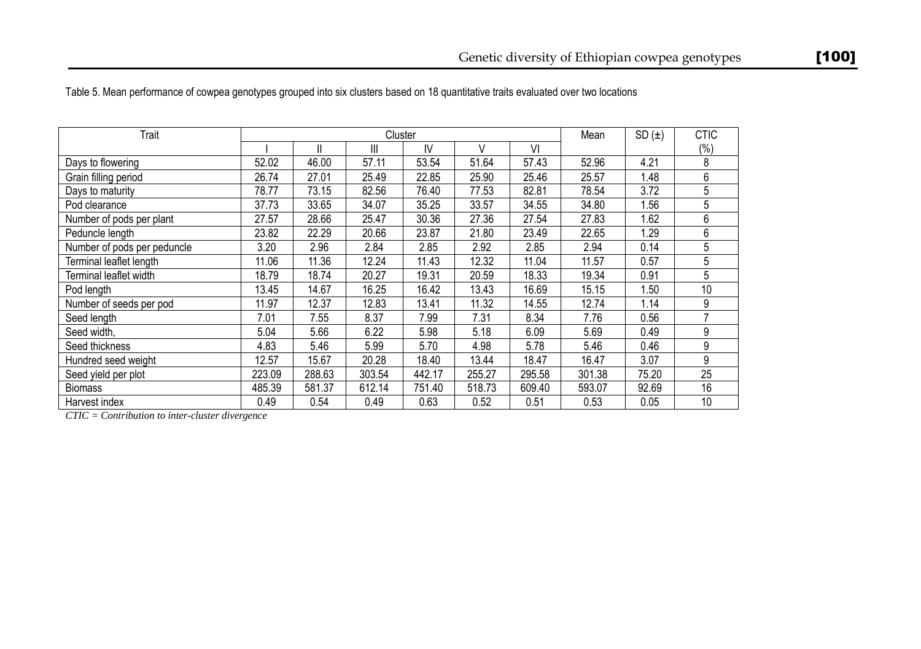| Trait                       | Cluster |               |        |        |        |        | Mean   | SD(1) | <b>CTIC</b> |
|-----------------------------|---------|---------------|--------|--------|--------|--------|--------|-------|-------------|
|                             |         | $\mathsf{II}$ | Ш      | IV     | V      | VI     |        |       | (%)         |
| Days to flowering           | 52.02   | 46.00         | 57.11  | 53.54  | 51.64  | 57.43  | 52.96  | 4.21  | 8           |
| Grain filling period        | 26.74   | 27.01         | 25.49  | 22.85  | 25.90  | 25.46  | 25.57  | 1.48  | 6           |
| Days to maturity            | 78.77   | 73.15         | 82.56  | 76.40  | 77.53  | 82.81  | 78.54  | 3.72  | 5           |
| Pod clearance               | 37.73   | 33.65         | 34.07  | 35.25  | 33.57  | 34.55  | 34.80  | 1.56  | 5           |
| Number of pods per plant    | 27.57   | 28.66         | 25.47  | 30.36  | 27.36  | 27.54  | 27.83  | 1.62  | 6           |
| Peduncle length             | 23.82   | 22.29         | 20.66  | 23.87  | 21.80  | 23.49  | 22.65  | 1.29  | 6           |
| Number of pods per peduncle | 3.20    | 2.96          | 2.84   | 2.85   | 2.92   | 2.85   | 2.94   | 0.14  | 5           |
| Terminal leaflet length     | 11.06   | 11.36         | 12.24  | 11.43  | 12.32  | 11.04  | 11.57  | 0.57  | 5           |
| Terminal leaflet width      | 18.79   | 18.74         | 20.27  | 19.31  | 20.59  | 18.33  | 19.34  | 0.91  | 5           |
| Pod length                  | 13.45   | 14.67         | 16.25  | 16.42  | 13.43  | 16.69  | 15.15  | 1.50  | 10          |
| Number of seeds per pod     | 11.97   | 12.37         | 12.83  | 13.41  | 11.32  | 14.55  | 12.74  | 1.14  | 9           |
| Seed length                 | 7.01    | 7.55          | 8.37   | 7.99   | 7.31   | 8.34   | 7.76   | 0.56  |             |
| Seed width,                 | 5.04    | 5.66          | 6.22   | 5.98   | 5.18   | 6.09   | 5.69   | 0.49  | 9           |
| Seed thickness              | 4.83    | 5.46          | 5.99   | 5.70   | 4.98   | 5.78   | 5.46   | 0.46  | 9           |
| Hundred seed weight         | 12.57   | 15.67         | 20.28  | 18.40  | 13.44  | 18.47  | 16.47  | 3.07  | 9           |
| Seed yield per plot         | 223.09  | 288.63        | 303.54 | 442.17 | 255.27 | 295.58 | 301.38 | 75.20 | 25          |
| Biomass                     | 485.39  | 581.37        | 612.14 | 751.40 | 518.73 | 609.40 | 593.07 | 92.69 | 16          |
| Harvest index               | 0.49    | 0.54          | 0.49   | 0.63   | 0.52   | 0.51   | 0.53   | 0.05  | 10          |

Table 5. Mean performance of cowpea genotypes grouped into six clusters based on 18 quantitative traits evaluated over two locations

*CTIC = Contribution to inter-cluster divergence*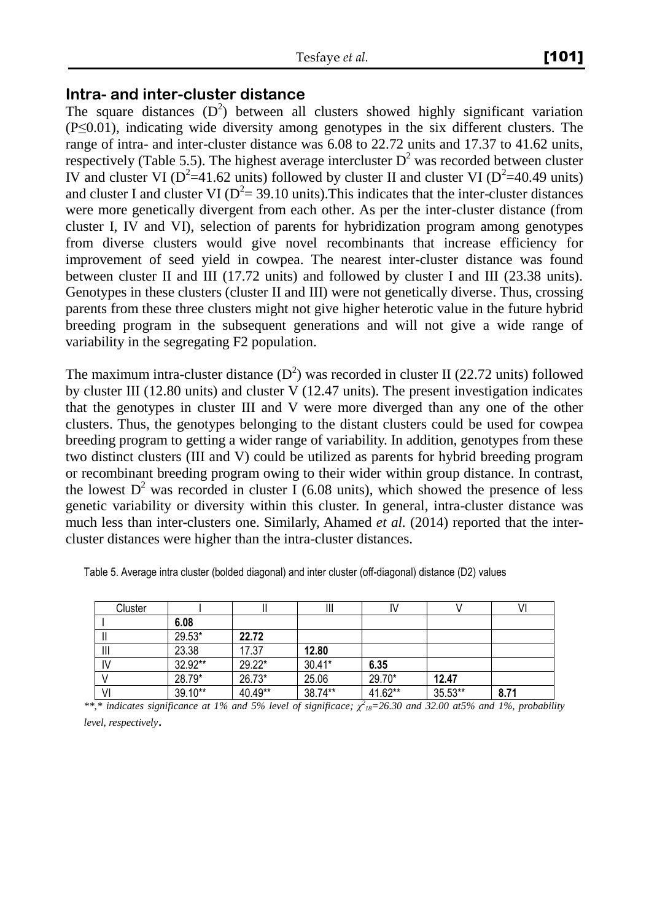#### **Intra- and inter-cluster distance**

The square distances  $(D^2)$  between all clusters showed highly significant variation (P≤0.01), indicating wide diversity among genotypes in the six different clusters. The range of intra- and inter-cluster distance was 6.08 to 22.72 units and 17.37 to 41.62 units, respectively (Table 5.5). The highest average intercluster  $D<sup>2</sup>$  was recorded between cluster IV and cluster VI ( $D^2$ =41.62 units) followed by cluster II and cluster VI ( $D^2$ =40.49 units) and cluster I and cluster VI ( $D^2 = 39.10$  units). This indicates that the inter-cluster distances were more genetically divergent from each other. As per the inter-cluster distance (from cluster I, IV and VI), selection of parents for hybridization program among genotypes from diverse clusters would give novel recombinants that increase efficiency for improvement of seed yield in cowpea. The nearest inter-cluster distance was found between cluster II and III (17.72 units) and followed by cluster I and III (23.38 units). Genotypes in these clusters (cluster II and III) were not genetically diverse. Thus, crossing parents from these three clusters might not give higher heterotic value in the future hybrid breeding program in the subsequent generations and will not give a wide range of variability in the segregating F2 population.

The maximum intra-cluster distance  $(D^2)$  was recorded in cluster II (22.72 units) followed by cluster III (12.80 units) and cluster V (12.47 units). The present investigation indicates that the genotypes in cluster III and V were more diverged than any one of the other clusters. Thus, the genotypes belonging to the distant clusters could be used for cowpea breeding program to getting a wider range of variability. In addition, genotypes from these two distinct clusters (III and V) could be utilized as parents for hybrid breeding program or recombinant breeding program owing to their wider within group distance. In contrast, the lowest  $D^2$  was recorded in cluster I (6.08 units), which showed the presence of less genetic variability or diversity within this cluster. In general, intra-cluster distance was much less than inter-clusters one. Similarly, Ahamed *et al.* (2014) reported that the intercluster distances were higher than the intra-cluster distances.

| Cluster        |            |          | $\mathsf{III}$ |         |         |      |
|----------------|------------|----------|----------------|---------|---------|------|
|                | 6.08       |          |                |         |         |      |
|                | $29.53*$   | 22.72    |                |         |         |      |
| $\mathsf{III}$ | 23.38      | 17.37    | 12.80          |         |         |      |
| IV             | 32.92**    | $29.22*$ | 30.41*         | 6.35    |         |      |
|                | 28.79*     | 26.73*   | 25.06          | 29.70*  | 12.47   |      |
| VI             | $39.10***$ | 40.49**  | $38.74***$     | 41.62** | 35.53** | 8.71 |

Table 5. Average intra cluster (bolded diagonal) and inter cluster (off-diagonal) distance (D2) values

*\*\*,\* indicates significance at 1% and 5% level of significace;*  $\chi^2_{18}$ *=26.30 and 32.00 at5% and 1%, probability level, respectively*.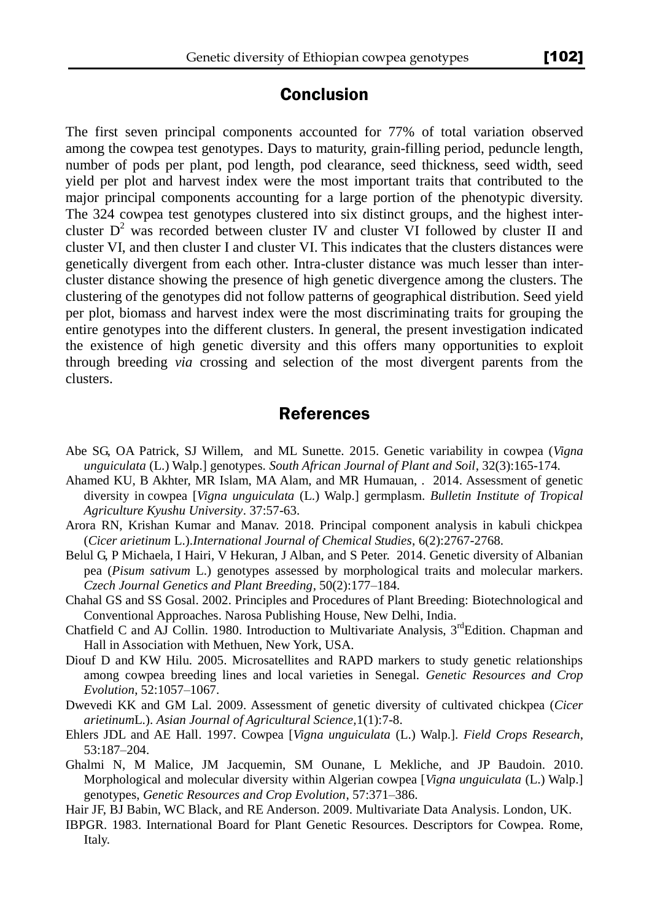### Conclusion

The first seven principal components accounted for 77% of total variation observed among the cowpea test genotypes. Days to maturity, grain-filling period, peduncle length, number of pods per plant, pod length, pod clearance, seed thickness, seed width, seed yield per plot and harvest index were the most important traits that contributed to the major principal components accounting for a large portion of the phenotypic diversity. The 324 cowpea test genotypes clustered into six distinct groups, and the highest intercluster  $D^2$  was recorded between cluster IV and cluster VI followed by cluster II and cluster VI, and then cluster I and cluster VI. This indicates that the clusters distances were genetically divergent from each other. Intra-cluster distance was much lesser than intercluster distance showing the presence of high genetic divergence among the clusters. The clustering of the genotypes did not follow patterns of geographical distribution. Seed yield per plot, biomass and harvest index were the most discriminating traits for grouping the entire genotypes into the different clusters. In general, the present investigation indicated the existence of high genetic diversity and this offers many opportunities to exploit through breeding *via* crossing and selection of the most divergent parents from the clusters.

### References

- Abe SG, OA Patrick, SJ Willem, and ML Sunette. 2015. Genetic variability in cowpea (*Vigna unguiculata* (L.) Walp.] genotypes. *South African Journal of Plant and Soil*, 32(3):165-174.
- Ahamed KU, B Akhter, MR Islam, MA Alam, and MR Humauan, . 2014. Assessment of genetic diversity in cowpea [*Vigna unguiculata* (L.) Walp.] germplasm. *Bulletin Institute of Tropical Agriculture Kyushu University*. 37:57-63.
- Arora RN, Krishan Kumar and Manav. 2018. Principal component analysis in kabuli chickpea (*Cicer arietinum* L.).*International Journal of Chemical Studies*, 6(2):2767-2768.
- Belul G, P Michaela, I Hairi, V Hekuran, J Alban, and S Peter. 2014. Genetic diversity of Albanian pea (*Pisum sativum* L.) genotypes assessed by morphological traits and molecular markers. *Czech Journal Genetics and Plant Breeding*, 50(2):177–184.
- Chahal GS and SS Gosal. 2002. Principles and Procedures of Plant Breeding: Biotechnological and Conventional Approaches. Narosa Publishing House, New Delhi, India.
- Chatfield C and AJ Collin. 1980. Introduction to Multivariate Analysis, 3<sup>rd</sup>Edition. Chapman and Hall in Association with Methuen, New York, USA.
- Diouf D and KW Hilu. 2005. Microsatellites and RAPD markers to study genetic relationships among cowpea breeding lines and local varieties in Senegal. *Genetic Resources and Crop Evolution*, 52:1057–1067.
- Dwevedi KK and GM Lal. 2009. Assessment of genetic diversity of cultivated chickpea (*Cicer arietinum*L.). *Asian Journal of Agricultural Science,*1(1):7-8.
- Ehlers JDL and AE Hall. 1997. Cowpea [*Vigna unguiculata* (L.) Walp.]. *Field Crops Research*, 53:187–204.
- Ghalmi N, M Malice, JM Jacquemin, SM Ounane, L Mekliche, and JP Baudoin. 2010. Morphological and molecular diversity within Algerian cowpea [*Vigna unguiculata* (L.) Walp.] genotypes, *Genetic Resources and Crop Evolution*, 57:371–386.
- Hair JF, BJ Babin, WC Black, and RE Anderson. 2009. Multivariate Data Analysis. London, UK.
- IBPGR. 1983. International Board for Plant Genetic Resources. Descriptors for Cowpea. Rome, Italy.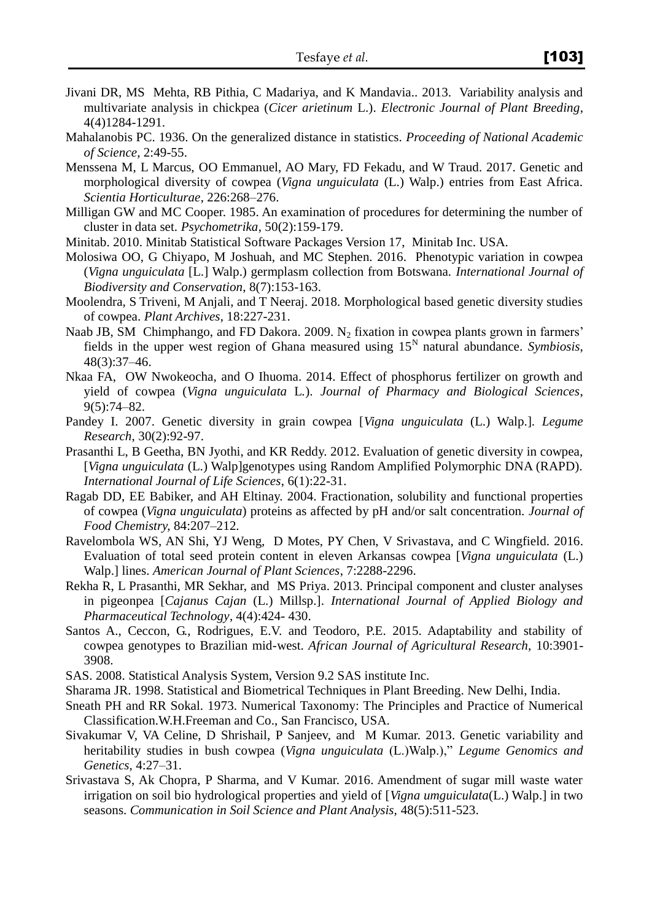- Jivani DR, MS Mehta, RB Pithia, C Madariya, and K Mandavia.. 2013. Variability analysis and multivariate analysis in chickpea (*Cicer arietinum* L.). *Electronic Journal of Plant Breeding*, 4(4)1284-1291.
- Mahalanobis PC. 1936. On the generalized distance in statistics. *Proceeding of National Academic of Science*, 2:49-55.
- Menssena M, L Marcus, OO Emmanuel, AO Mary, FD Fekadu, and W Traud. 2017. Genetic and morphological diversity of cowpea (*Vigna unguiculata* (L.) Walp.) entries from East Africa. *Scientia Horticulturae*, 226:268–276.
- Milligan GW and MC Cooper. 1985. An examination of procedures for determining the number of cluster in data set. *Psychometrika*, 50(2):159-179.
- Minitab. 2010. Minitab Statistical Software Packages Version 17, Minitab Inc. USA.
- Molosiwa OO, G Chiyapo, M Joshuah, and MC Stephen. 2016. Phenotypic variation in cowpea (*Vigna unguiculata* [L.] Walp.) germplasm collection from Botswana. *International Journal of Biodiversity and Conservation*, 8(7):153-163.
- Moolendra, S Triveni, M Anjali, and T Neeraj. 2018. Morphological based genetic diversity studies of cowpea. *Plant Archives*, 18:227-231.
- Naab JB, SM Chimphango, and FD Dakora. 2009. N<sub>2</sub> fixation in cowpea plants grown in farmers' fields in the upper west region of Ghana measured using  $15<sup>N</sup>$  natural abundance. Symbiosis, 48(3):37–46.
- Nkaa FA, OW Nwokeocha, and O Ihuoma. 2014. Effect of phosphorus fertilizer on growth and yield of cowpea (*Vigna unguiculata* L*.*). *Journal of Pharmacy and Biological Sciences*, 9(5):74–82.
- Pandey I. 2007. Genetic diversity in grain cowpea [*Vigna unguiculata* (L.) Walp.]. *Legume Research*, 30(2):92-97.
- Prasanthi L, B Geetha, BN Jyothi, and KR Reddy. 2012. Evaluation of genetic diversity in cowpea, [*Vigna unguiculata* (L.) Walp]genotypes using Random Amplified Polymorphic DNA (RAPD). *International Journal of Life Sciences*, 6(1):22-31.
- Ragab DD, EE Babiker, and AH Eltinay. 2004. Fractionation, solubility and functional properties of cowpea (*Vigna unguiculata*) proteins as affected by pH and/or salt concentration. *Journal of Food Chemistry,* 84:207–212.
- Ravelombola WS, AN Shi, YJ Weng, D Motes, PY Chen, V Srivastava, and C Wingfield. 2016. Evaluation of total seed protein content in eleven Arkansas cowpea [*Vigna unguiculata* (L.) Walp.] lines. *American Journal of Plant Sciences*, 7:2288-2296.
- Rekha R, L Prasanthi, MR Sekhar, and MS Priya. 2013. Principal component and cluster analyses in pigeonpea [*Cajanus Cajan* (L.) Millsp.]. *International Journal of Applied Biology and Pharmaceutical Technology*, 4(4):424- 430.
- Santos A., Ceccon, G., Rodrigues, E.V. and Teodoro, P.E. 2015. Adaptability and stability of cowpea genotypes to Brazilian mid-west. *African Journal of Agricultural Research,* 10:3901- 3908.
- SAS. 2008. Statistical Analysis System, Version 9.2 SAS institute Inc.
- Sharama JR. 1998. Statistical and Biometrical Techniques in Plant Breeding. New Delhi, India.
- Sneath PH and RR Sokal. 1973. Numerical Taxonomy: The Principles and Practice of Numerical Classification.W.H.Freeman and Co., San Francisco, USA.
- Sivakumar V, VA Celine, D Shrishail, P Sanjeev, and M Kumar. 2013. Genetic variability and heritability studies in bush cowpea (*Vigna unguiculata* (L.)Walp.)," *Legume Genomics and Genetics*, 4:27–31.
- Srivastava S, Ak Chopra, P Sharma, and V Kumar. 2016. Amendment of sugar mill waste water irrigation on soil bio hydrological properties and yield of [*Vigna umguiculata*(L.) Walp.] in two seasons. *Communication in Soil Science and Plant Analysis,* 48(5):511-523.